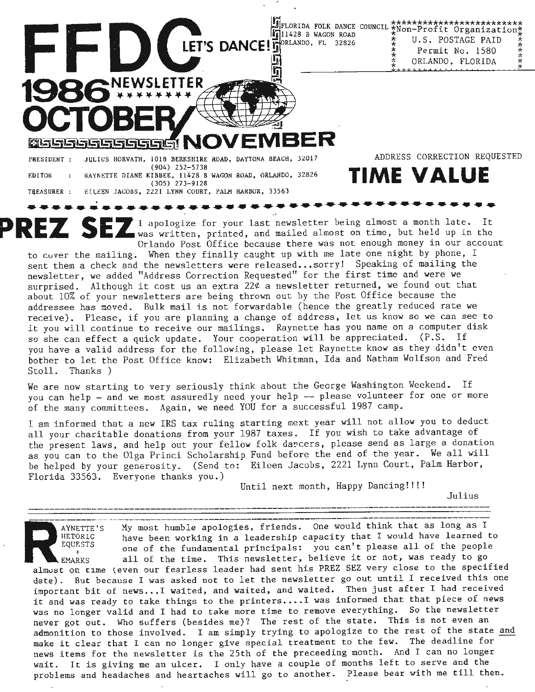11428 B WAGON ROAD LET'S DANCE! TORLANDO, FL 32826

U.S. POSTAGE PAID Permit No. 1580 ORLANDO, FLORIDA

**DELEBERT NO** JULIUS HORVATH, 1018 BERKSHIRE ROAD, DAYTONA BEACH, 32017 PRESIDENT : (904) 252-5738 RAYNETTE DIANE KIBBEE, 11428 B WAGON ROAD, ORLANDO, 32826 EDITOR (305) 273-9128 EILEEN JACOBS, 2221 LYNN COURT, PALM HARBOR, 33563 TREASURER :

EWSLETTER

elsse

ADDRESS CORRECTION REQUESTED

# **TIME VALUE**

 $\frac{1}{\lambda}$ 

EDITOR : RAYNETTE DIANE KIBBEE, 11428 B WAGON ROAD, ORLANDO, 32826 **IINNE VALUE**<br>
TREASURER : ELLEEN JACOBS, 2221 LYNN COURT, PALM HARBOR, 33563<br> **PREZ SEZ** I apologize for your last newsletter being almost a month late. Orlando Post Office because there was not enough money in our account

to cvver the mailing. When they finally caught up with me late one night by phone, I sent them a check and the newsletters were released...sorry! Speaking of mailing the newsletter, we added "Address Correction Requested" for the first time and were we surprised. Although it cost us an extra  $22¢$  a newsletter returned, we found out that about 10% of your newsletters are being thrown out by the Post Office because the addressee has moved. Bulk mail is not forwardable (hence the greatly reduced rate we receive). Please, if you are planning a change of address, let us know so we can see to it you will continue to receive our mailings. Raynette has you name on a computer disk so she can effect a quick update. Your cooperation will be appreciated. (P.S. If you have a valid address for the following, please let Raynette know as they didn't even bother to let the Post Office know: Elizabeth Whitman, Ida and Natham Wolfson and Fred Stoll. Thanks)

**We** are now starting to very seriously think about the George Washington Weekend. If you can help - and we most assuredly need your help -- please volunteer for one or more of the many committees. Again, we need YOU for a successful 1987 camp.

I am informed that a new IRS tax ruling starting mext year will not allow you to deduct all your charitable donations from your 1987 taxes. If you wish to take advantage of the present laws, and help out your fellow folk darcers, please send as large a donation as you can to the Olga Princi Scholarship Fund before the end of the year. We all will be helped by your generosity. (Send to: Eileen Jacobs, 2221 Lynn Court, Palm Harbor, Florida 33563. Everyone thanks you.)

Until next month, Happy Dancing!!!!

Julius ---------------------------------------------------------------------------------------

AYNETTE'S My most humble apologies, friends. One would think that as long as I<br>HETORIC have been working in a leadership capacity that I would have learned<br>equests one of the fundamental principals: you can't please all of AYNETTE'S My most humble apologies, friends. One would think that as long as I<br>HETORIC have been working in a leadership capacity that I would have learned to<br>EQUESTS are of the fundamental principals: you can't please all one of the fundamental principals: you can't please all of the people <sup>+</sup><br>EMARKS all of the time. This newsletter, believe it or not, was ready to go almust on cime teven our fearless leader had sent his PREZ SEZ very close to the specified<br>almust on time (even our fearless leader had sent his PREZ SEZ very close to the specified date). But because I was asked not to let the newsletter go out until I received this one important bit of news...I waited, and waited, and waited. Then just after I had received it and was ready to take things to the printers.... I was informed that that piece of news was no longer valid and I had to take more time to remove everything. So the newsletter never got out. Who suffers (besides me)? The rest of the state. This is not even an admonition to those involved. I am simply trying to apologize to the rest of the state and make it clear that I can no longer give special treatment to the few. The deadline for news items for the newsletter is the 25th of the preceeding month. And I can no longer wait. It is giving me an ulcer. I only have a couple of months left to serve and the problems and headaches and heartaches will go to another. Please bear with me till then.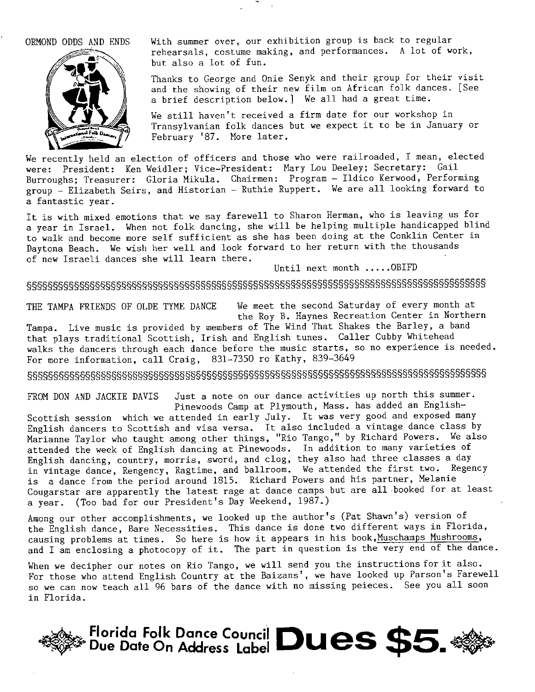ORMOND ODDS AND ENDS



With summer over, our exhibition group is back to regular rehearsals, costume making, and performances. A lot of work, but also a lot of fun.

Thanks to George and Onie Senyk and their group for their visit and the showing of their new film on African folk dances. [See a brief description below.] We all had a great time.

We still haven't received a firm date for our workshop in Transylvanian folk dances but we expect it to be in January or February '87. More later.

We recently held an election of officers and those who were railroaded, I mean, elected were: President: Ken Weidler; Vice-President: Mary Lou Deeley; Secretary: Gail Burroughs; Treasurer: Gloria Mikula. Chairmen: Program - Ildico Kerwood, Performing group - Elizabeth Seirs, and Historian - Ruthie Ruppert. We are all looking forward to a fantastic year.

It is with mixed emotions that we say farewell to Sharon Herman, who is leaving us for a year in Israel. When not folk dancing, she will be helping multiple handicapped blind to walk and become more self sufficient as she has been doing at the Conklin Center in Daytona Beach. We wish her well and look forward to her return with the thousands of new Israeli dances she will learn there.<br>
Until next month ..... OBIFD

## §§§§§§§§§§§§§§§§§§§§§§§§§§§§§§§§§§§§§§§§§§§§§§§§§§§§§§§§§§§§§§§§§§§§§§§§§§§§§§§§§§§§§§§

THE TAMPA FRIENDS OF OLDE TYME DANCE We meet the second Saturday of every month at the Roy B. Haynes Recreation Center in Northern

Tampa. Live music is provided by members of The Wind That Shakes the Barley, a band that plays traditional Scottish, Irish and English tunes. Caller Cubby Whitehead walks the dancers through each dance before the music starts, so no experience is needed. For more information, call Craig, 831-7350 ro Kathy, 839-3649

§§§§§§§§§§§§§§§§§§§§§§§§§§§§§§§§§§§§§§§§§§§§§§§§§§§§§§§§§§§§§§§§§§§§§§§§§§§§§§§§§§§§§§§

FROM DON AND JACKIE DAVIS Just a note on our dance activities up north this summer. Pinewoods Camp at Plymouth, Mass. has added an English-

Scottish session which we attended in early July. It was very good and exposed many English dancers to Scottish and visa versa. It also included a vintage dance class by Marianne Taylor who taught among other things, "Rio Tango," by Richard Powers. We also attended the week of English dancing at Pinewoods. In addition to many varieties of English dancing, country, morris, sword, and clog, they also had three classes a day in vintage dance, Rengency, Ragtime, and ballroom. We attended the first two. Regency is a dance from the period around 1815. Richard Powers and his partner, Melanie Cougarstar are apparently the latest rage at dance camps but are all .booked for at least a year. (Too bad for our President's Day Weekend, 1987.)

Among our other accomplishments, we looked up the author's (Pat Shawn's) version of the English dance, Bare Necessities. This dance is done two different ways in Florida, causing problems at times. So here is how it appears in his book, Muschamps Mushrooms, and I am enclosing a photocopy of it. The part in question is the very end of the dance.

When we decipher our notes on Rio Tango, we will send you the instructions for it also. For those who attend English Country at the Baizans', we have looked up Parson's Farewell so we can now teach all 96 bars of the dance with no missing peieces. See you all soon in Florida.

-~- **Example 3 and Service Service Council Dues \$5.**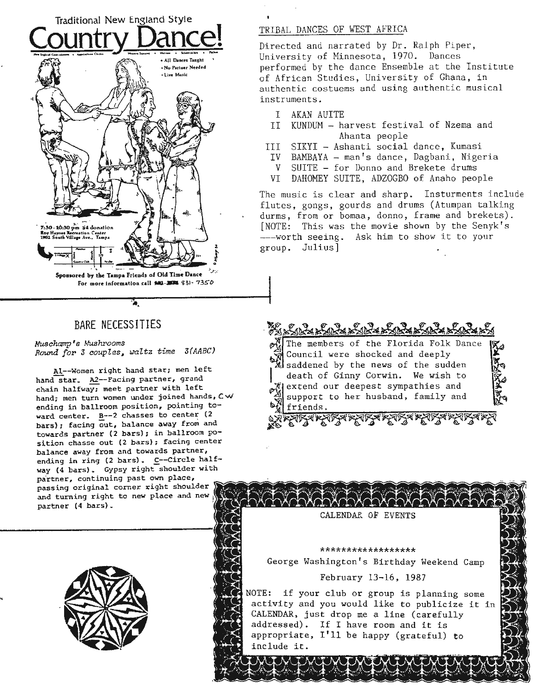

### BARE NECESSITIES

*Muschamp's Mushrooms Round for* **3** *couples, ~altz time 3(AABC)* 

Al--Women right hand star; men left hand star.  $\underline{A2}$ --Facing partner, grand chain halfway; meet partner with left hand; men turn women under joined hands, Cw ending in ballroom position, pointing toward center. B--2 chasses to center (2 bars); facing out, balance away from and towards partner (2 bars); in ballroom position chasse out (2 bars); facing center balance away from and towards partner, ending in ring (2 bars). C--Circle half**way (4** bars). Gypsy right shoulder with partner, continuing past own place, passing original corner right shoulder and turning right to new place and partner **(4** bars).



#### TRIBAL DANCES OF WEST AFRICA

Directed and narrated by Dr. Ralph Piper, University of Minnesota, 1970. Dances performed by the dance Ensemble at the Institute of African Studies, University of Ghana, in authentic costuems and using authentic musical instruments.

- I AKAN AUITE
- II KUNDUM harvest festival of Nzema and Ahanta people
- III SIKYI Ashanti social dance, Kumasi
- IV BAMBAYA man's dance, Dagbani, Nigeria
- V SUITE for Donno and Brekete drums
- VI DAHOMEY SUITE, ADZOGBO of Anaho people

The music is clear and sharp. Insturments include flutes, gongs, gourds and drums (Atumpan talking durms, from or bomaa, donno, frame and brekets) . [NOTE: This was the movie shown by the Senyk's ---worth seeing. Ask him to show it to your group. Julius)



**a** saddened by the news of the sudden death of Ginny Corwin. We wish to extend our deepest sympathies and **X** support to her husband, family and **17.**<br>•**'1** friends.<br>◇ <del>- コマイキングスインクスイングスイングスイングスイ</del>ンプ

<del>्</del>ले म्हण्ड्रबम्ह्यस्<del>द्रबम्ह्यस्द्रबम्ह्यस्त्र महारा</del>द्रबम्हा

CALENDAR OF EVENTS

\*\*\*\*\*\*\*\*\*\*\*\*\*\*\*\* George Washington's Birthday Weekend Camp

#### February 13-16, 1987

NOTE: if your club or group is planning some activity and you would like to publicize CALENDAR, just drop me a line (carefully addressed). If I have room and it is appropriate, I'll be happy (grateful) to include it.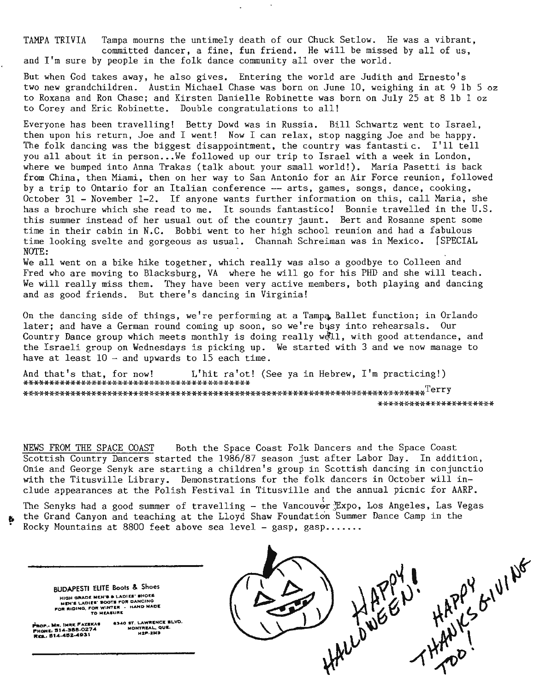TAMPA TRIVIA Tampa mourns the untimely death of our Chuck Setlow. He was a vibrant, committed dancer, a fine, fun friend. He will be missed by all of us, and I'm sure by people in the folk dance community all over the world.

But when God takes away, he also gives. Entering the world are Judith and Ernesto's two new grandchildren. Austin Michael Chase was born on June 10, weighing in at 9 lb 5 oz to Roxana and Ron Chase; and Kirsten Danielle Robinette was born on July 25 at 8 lb 1 oz to Corey and Eric Robinette. Double congratulations to all!

Everyone has been travelling! Betty Dowd was in Russia. Bill Schwartz went to Israel , then upon his return, Joe and I went! Now I can relax, stop nagging Joe and be happy. The folk dancing was the biggest disappointment, the country was fantastic. I'll tell you all about it in person...We followed up our trip to Israel with a week in London, where we bumped into Anna Trakas (talk about your small world!). Maria Pasetti is back from China, then Miami, then on her way to San Antonio for an Air Force reunion, followed by a trip to Ontario for an Italian conference -- arts, games, songs, dance, cooking, October 31 - November 1-2. If anyone wants further information on this, call Maria, she has a brochure which she read to me. It sounds fantastico! Bonnie travelled in the U.S. this summer instead of her usual out of the country jaunt. Bert and Rosanne spent some time in their cabin in N.C. Bobbi went to her high school reunion and had a fabulous time looking svelte and gorgeous as usual. Channah Schreiman was in Mexico. [SPECIAL NOTE:

We all went on a bike hike together, which really was also a goodbye to Colleen and Fred who are moving to Blacksburg, VA where he will go for his PHD and she will teach. We will really miss them. They have been very active members, both playing and dancing and as good friends. But there's dancing in Virginia!

On the dancing side of things, we're performing at a Tampa Ballet function; in Orlando later; and have a German round coming up soon, so we're busy into rehearsals. Our Country Dance group which meets monthly is doing really well, with good attendance, and the Israeli group on Wednesdays is picking up. We started with 3 and we now manage to have at least  $10 -$  and upwards to 15 each time.

And that's that, for now! L'hit ra'ot! (See ya in Hebrew, I'm practicing!) \*\*\*\*\*\*\*\*\*\*\*\*\*\*\*\*\*\*\*\*\*\*\*\*\*\*\*\*\*\*\*\*\*\*\*\*\*\*\*\*\*\*\* \*\*\*\*\*\*\*\*\*\*\*\*\*\*\*\*\*\*\*\*\*\*\*\*\*\*\*\*\*\*\*\*\*\*\*\*\*\*\*\*\*\*\*\*\*\*\*\*\*\*\*\*\*\*-iH:·\*\*\*\*\*\*\*\*\*\*\*\*\*\*\*\*\*\*\*\*Terry \*-H-\*\*\*\*\*\*\*\*\*\*\*\*\*\*\*\*\*\*\*

NEWS FROM THE SPACE COAST Both the Space Coast Folk Dancers and the Space Coast Scottish Country Dancers started the 1986/87 season just after Labor Day. In addition, Onie and George Senyk are starting a children's group in Scottish dancing in conjunctio with the Titusville Library. Demonstrations for the folk dancers in October will include appearances at the Polish Festival in Titusville and the annual picnic for AARP.

The Senyks had a good summer of travelling - the Vancouver Expo, Los Angeles, Las Vegas the Grand Canyon and teaching at the Lloyd Shaw Foundation Summer Dance Camp in the • **Rocky Mountains at 8800 feet above sea level - gasp, gasp ... . .. .** 

**BUDAPEST! ELITE Boots** & **Shoes**  HIGH ORADE MEN'S & LADIES' SHOES<br>HIEN'S LADIES' BOOTS FOR DANCING<br>FOR RIDING, FOR WINTER · HAND MADE<br>POR RIDING, FOR MEASURE

**PROP.: MR. IMRE FAXEKAS<br>PHONE: 514-388-0274<br>REL. 514-452-4931** 

e340 ST. LAWRENCE BLVD.<br>MONTREAL, QUE.<br>H2P-2M3